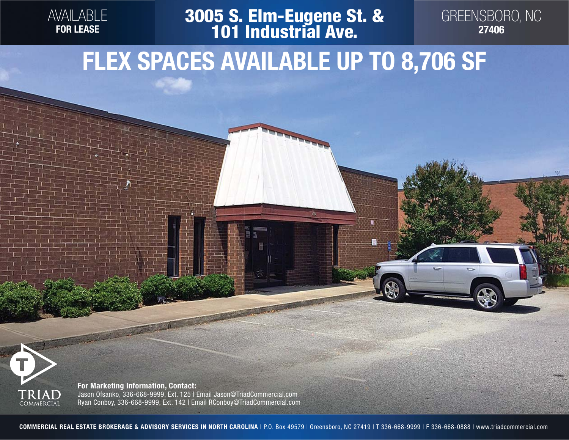

## **3005 S. Elm-Eugene St. & 101 Industrial Ave.**



### **FLEX SPACES AVAILABLE UP TO 8,706 SF**



**For Marketing Information, Contact:** Jason Ofsanko, 336-668-9999, Ext. 125 | Email Jason@TriadCommercial.com Ryan Conboy, 336-668-9999, Ext. 142 | Email RConboy@TriadCommercial.com

**COMMERCIAL REAL ESTATE BROKERAGE & ADVISORY SERVICES IN NORTH CAROLINA** | P.O. Box 49579 | Greensboro, NC 27419 | T 336-668-9999 | F 336-668-0888 | www.triadcommercial.com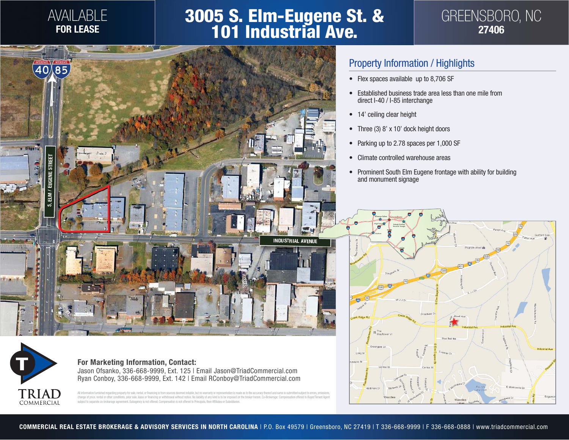#### AVAILABLE **FOR LEASE**

# **3005 S. Elm-Eugene St. & 101 Industrial Ave.**





#### Property Information / Highlights

- Flex spaces available up to 8,706 SF
- Established business trade area less than one mile from direct I-40 / I-85 interchange
- 14' ceiling clear height
- Three (3) 8' x 10' dock height doors
- Parking up to 2.78 spaces per 1,000 SF
- Climate controlled warehouse areas
- Prominent South Elm Eugene frontage with ability for building and monument signage





**For Marketing Information, Contact:** Jason Ofsanko, 336-668-9999, Ext. 125 | Email Jason@TriadCommercial.com Ryan Conboy, 336-668-9999, Ext. 142 | Email RConboy@TriadCommercial.com

All information furnished regarding property for sale, rental, or financing is from sources deemed reliable, but no warranty or representation is made as to the accuracy thereof and same is submitted subject to errors, omi subject to separate co-brokerage agreement. Subagency is not offered. Compensation is not offered to Principals, their Affiliates or Subsidiaries.